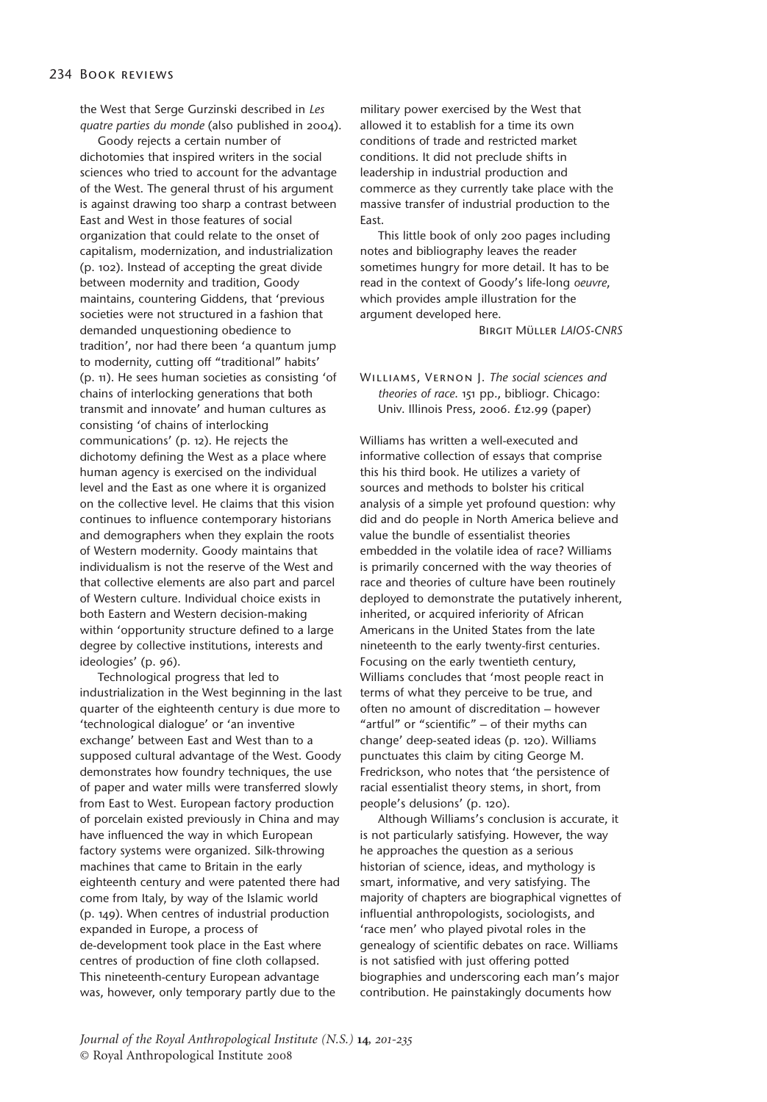the West that Serge Gurzinski described in *Les quatre parties du monde* (also published in 2004).

Goody rejects a certain number of dichotomies that inspired writers in the social sciences who tried to account for the advantage of the West. The general thrust of his argument is against drawing too sharp a contrast between East and West in those features of social organization that could relate to the onset of capitalism, modernization, and industrialization (p. 102). Instead of accepting the great divide between modernity and tradition, Goody maintains, countering Giddens, that 'previous societies were not structured in a fashion that demanded unquestioning obedience to tradition', nor had there been 'a quantum jump to modernity, cutting off "traditional" habits' (p. 11). He sees human societies as consisting 'of chains of interlocking generations that both transmit and innovate' and human cultures as consisting 'of chains of interlocking communications' (p. 12). He rejects the dichotomy defining the West as a place where human agency is exercised on the individual level and the East as one where it is organized on the collective level. He claims that this vision continues to influence contemporary historians and demographers when they explain the roots of Western modernity. Goody maintains that individualism is not the reserve of the West and that collective elements are also part and parcel of Western culture. Individual choice exists in both Eastern and Western decision-making within 'opportunity structure defined to a large degree by collective institutions, interests and ideologies' (p. 96).

Technological progress that led to industrialization in the West beginning in the last quarter of the eighteenth century is due more to 'technological dialogue' or 'an inventive exchange' between East and West than to a supposed cultural advantage of the West. Goody demonstrates how foundry techniques, the use of paper and water mills were transferred slowly from East to West. European factory production of porcelain existed previously in China and may have influenced the way in which European factory systems were organized. Silk-throwing machines that came to Britain in the early eighteenth century and were patented there had come from Italy, by way of the Islamic world (p. 149). When centres of industrial production expanded in Europe, a process of de-development took place in the East where centres of production of fine cloth collapsed. This nineteenth-century European advantage was, however, only temporary partly due to the

military power exercised by the West that allowed it to establish for a time its own conditions of trade and restricted market conditions. It did not preclude shifts in leadership in industrial production and commerce as they currently take place with the massive transfer of industrial production to the East.

This little book of only 200 pages including notes and bibliography leaves the reader sometimes hungry for more detail. It has to be read in the context of Goody's life-long *oeuvre*, which provides ample illustration for the argument developed here.

Birgit Müller *LAIOS-CNRS*

Williams, Vernon J. *The social sciences and theories of race*. 151 pp., bibliogr. Chicago: Univ. Illinois Press, 2006. £12.99 (paper)

Williams has written a well-executed and informative collection of essays that comprise this his third book. He utilizes a variety of sources and methods to bolster his critical analysis of a simple yet profound question: why did and do people in North America believe and value the bundle of essentialist theories embedded in the volatile idea of race? Williams is primarily concerned with the way theories of race and theories of culture have been routinely deployed to demonstrate the putatively inherent, inherited, or acquired inferiority of African Americans in the United States from the late nineteenth to the early twenty-first centuries. Focusing on the early twentieth century, Williams concludes that 'most people react in terms of what they perceive to be true, and often no amount of discreditation – however "artful" or "scientific" – of their myths can change' deep-seated ideas (p. 120). Williams punctuates this claim by citing George M. Fredrickson, who notes that 'the persistence of racial essentialist theory stems, in short, from people's delusions' (p. 120).

Although Williams's conclusion is accurate, it is not particularly satisfying. However, the way he approaches the question as a serious historian of science, ideas, and mythology is smart, informative, and very satisfying. The majority of chapters are biographical vignettes of influential anthropologists, sociologists, and 'race men' who played pivotal roles in the genealogy of scientific debates on race. Williams is not satisfied with just offering potted biographies and underscoring each man's major contribution. He painstakingly documents how

*Journal of the Royal Anthropological Institute (N.S.)* **14***, 201-235* © Royal Anthropological Institute 2008